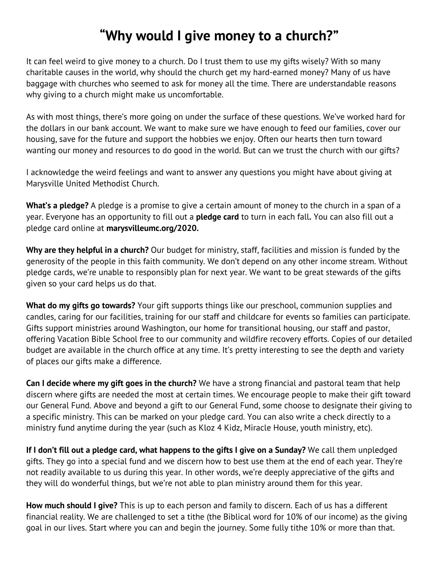## **"Why would I give money to a church?"**

It can feel weird to give money to a church. Do I trust them to use my gifts wisely? With so many charitable causes in the world, why should the church get my hard-earned money? Many of us have baggage with churches who seemed to ask for money all the time. There are understandable reasons why giving to a church might make us uncomfortable.

As with most things, there's more going on under the surface of these questions. We've worked hard for the dollars in our bank account. We want to make sure we have enough to feed our families, cover our housing, save for the future and support the hobbies we enjoy. Often our hearts then turn toward wanting our money and resources to do good in the world. But can we trust the church with our gifts?

I acknowledge the weird feelings and want to answer any questions you might have about giving at Marysville United Methodist Church.

**What's a pledge?** A pledge is a promise to give a certain amount of money to the church in a span of a year. Everyone has an opportunity to fill out a **pledge card** to turn in each fall**.** You can also fill out a pledge card online at **marysvilleumc.org/2020.**

**Why are they helpful in a church?** Our budget for ministry, staff, facilities and mission is funded by the generosity of the people in this faith community. We don't depend on any other income stream. Without pledge cards, we're unable to responsibly plan for next year. We want to be great stewards of the gifts given so your card helps us do that.

**What do my gifts go towards?** Your gift supports things like our preschool, communion supplies and candles, caring for our facilities, training for our staff and childcare for events so families can participate. Gifts support ministries around Washington, our home for transitional housing, our staff and pastor, offering Vacation Bible School free to our community and wildfire recovery efforts. Copies of our detailed budget are available in the church office at any time. It's pretty interesting to see the depth and variety of places our gifts make a difference.

**Can I decide where my gift goes in the church?** We have a strong financial and pastoral team that help discern where gifts are needed the most at certain times. We encourage people to make their gift toward our General Fund. Above and beyond a gift to our General Fund, some choose to designate their giving to a specific ministry. This can be marked on your pledge card. You can also write a check directly to a ministry fund anytime during the year (such as Kloz 4 Kidz, Miracle House, youth ministry, etc).

**If I don't fill out a pledge card, what happens to the gifts I give on a Sunday?** We call them unpledged gifts. They go into a special fund and we discern how to best use them at the end of each year. They're not readily available to us during this year. In other words, we're deeply appreciative of the gifts and they will do wonderful things, but we're not able to plan ministry around them for this year.

**How much should I give?** This is up to each person and family to discern. Each of us has a different financial reality. We are challenged to set a tithe (the Biblical word for 10% of our income) as the giving goal in our lives. Start where you can and begin the journey. Some fully tithe 10% or more than that.